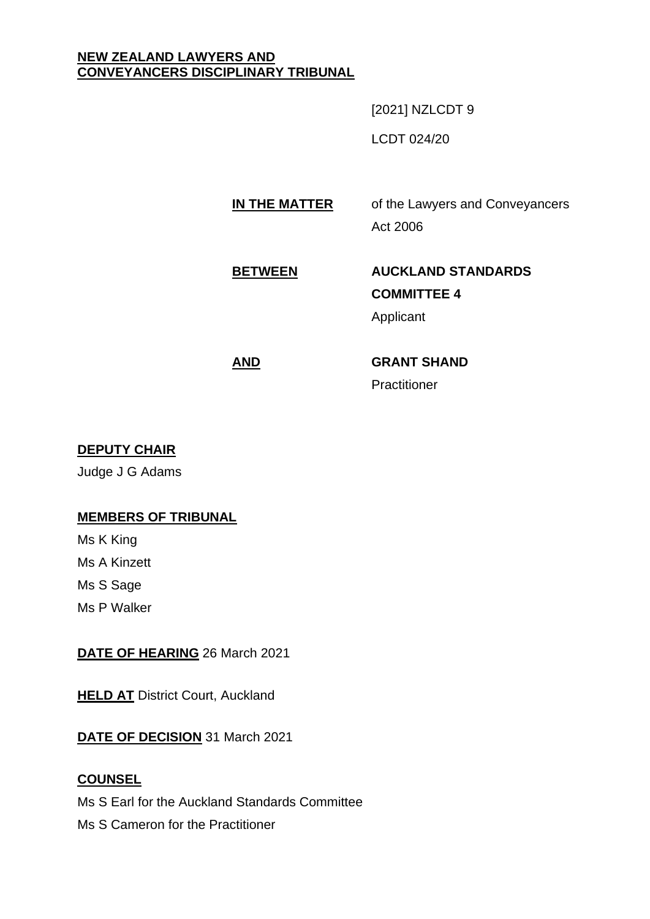#### **NEW ZEALAND LAWYERS AND CONVEYANCERS DISCIPLINARY TRIBUNAL**

[2021] NZLCDT 9

LCDT 024/20

**IN THE MATTER** of the Lawyers and Conveyancers Act 2006

# **BETWEEN AUCKLAND STANDARDS COMMITTEE 4**

Applicant

# **AND GRANT SHAND Practitioner**

## **DEPUTY CHAIR**

Judge J G Adams

## **MEMBERS OF TRIBUNAL**

Ms K King Ms A Kinzett Ms S Sage Ms P Walker

**DATE OF HEARING** 26 March 2021

**HELD AT** District Court, Auckland

**DATE OF DECISION** 31 March 2021

## **COUNSEL**

Ms S Earl for the Auckland Standards Committee

Ms S Cameron for the Practitioner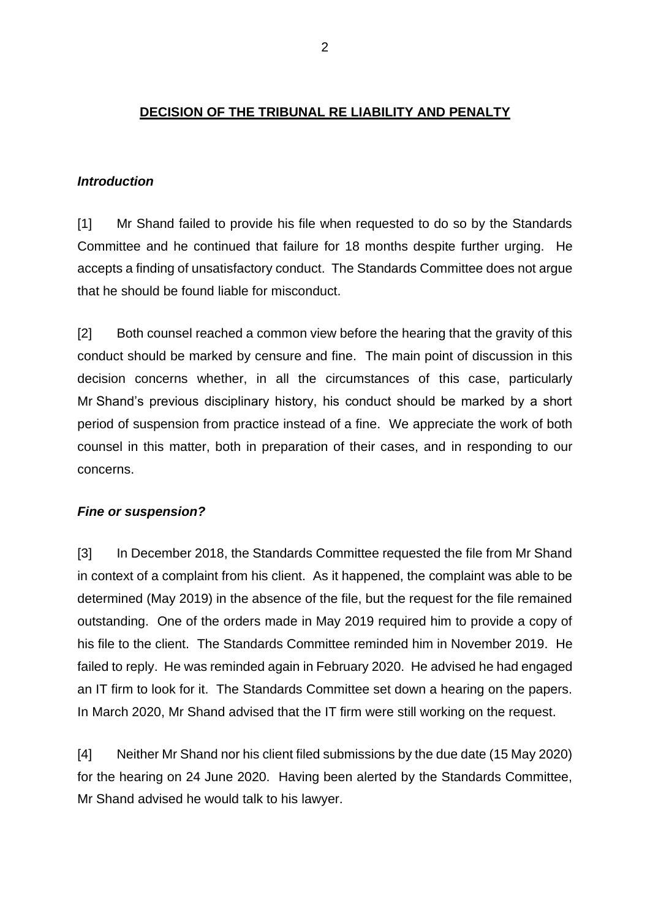## **DECISION OF THE TRIBUNAL RE LIABILITY AND PENALTY**

#### *Introduction*

[1] Mr Shand failed to provide his file when requested to do so by the Standards Committee and he continued that failure for 18 months despite further urging. He accepts a finding of unsatisfactory conduct. The Standards Committee does not argue that he should be found liable for misconduct.

[2] Both counsel reached a common view before the hearing that the gravity of this conduct should be marked by censure and fine. The main point of discussion in this decision concerns whether, in all the circumstances of this case, particularly Mr Shand's previous disciplinary history, his conduct should be marked by a short period of suspension from practice instead of a fine. We appreciate the work of both counsel in this matter, both in preparation of their cases, and in responding to our concerns.

## *Fine or suspension?*

[3] In December 2018, the Standards Committee requested the file from Mr Shand in context of a complaint from his client. As it happened, the complaint was able to be determined (May 2019) in the absence of the file, but the request for the file remained outstanding. One of the orders made in May 2019 required him to provide a copy of his file to the client. The Standards Committee reminded him in November 2019. He failed to reply. He was reminded again in February 2020. He advised he had engaged an IT firm to look for it. The Standards Committee set down a hearing on the papers. In March 2020, Mr Shand advised that the IT firm were still working on the request.

[4] Neither Mr Shand nor his client filed submissions by the due date (15 May 2020) for the hearing on 24 June 2020. Having been alerted by the Standards Committee, Mr Shand advised he would talk to his lawyer.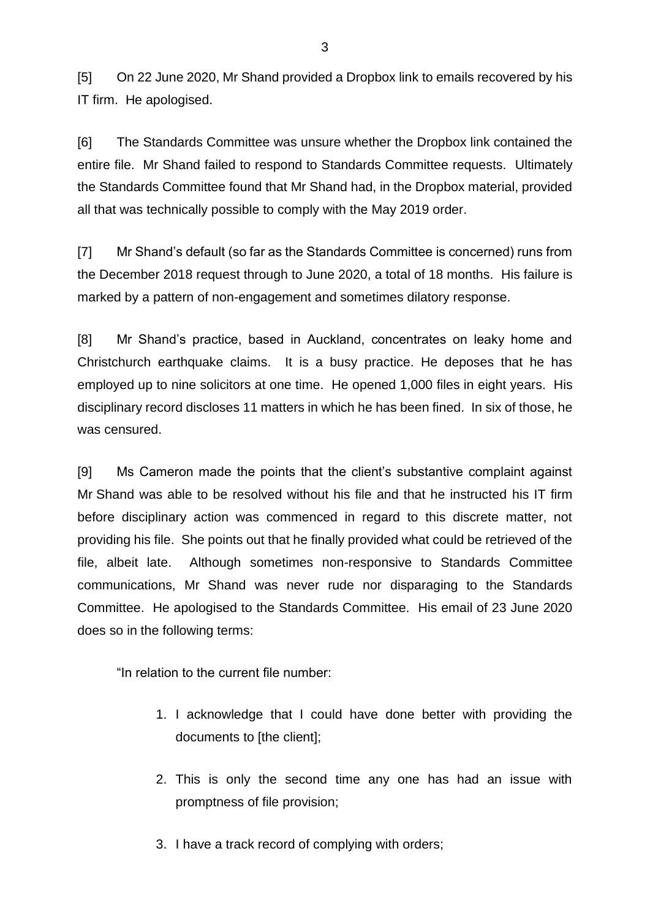[5] On 22 June 2020, Mr Shand provided a Dropbox link to emails recovered by his IT firm. He apologised.

[6] The Standards Committee was unsure whether the Dropbox link contained the entire file. Mr Shand failed to respond to Standards Committee requests. Ultimately the Standards Committee found that Mr Shand had, in the Dropbox material, provided all that was technically possible to comply with the May 2019 order.

[7] Mr Shand's default (so far as the Standards Committee is concerned) runs from the December 2018 request through to June 2020, a total of 18 months. His failure is marked by a pattern of non-engagement and sometimes dilatory response.

[8] Mr Shand's practice, based in Auckland, concentrates on leaky home and Christchurch earthquake claims. It is a busy practice. He deposes that he has employed up to nine solicitors at one time. He opened 1,000 files in eight years. His disciplinary record discloses 11 matters in which he has been fined. In six of those, he was censured.

[9] Ms Cameron made the points that the client's substantive complaint against Mr Shand was able to be resolved without his file and that he instructed his IT firm before disciplinary action was commenced in regard to this discrete matter, not providing his file. She points out that he finally provided what could be retrieved of the file, albeit late. Although sometimes non-responsive to Standards Committee communications, Mr Shand was never rude nor disparaging to the Standards Committee. He apologised to the Standards Committee. His email of 23 June 2020 does so in the following terms:

"In relation to the current file number:

- 1. I acknowledge that I could have done better with providing the documents to [the client];
- 2. This is only the second time any one has had an issue with promptness of file provision;
- 3. I have a track record of complying with orders;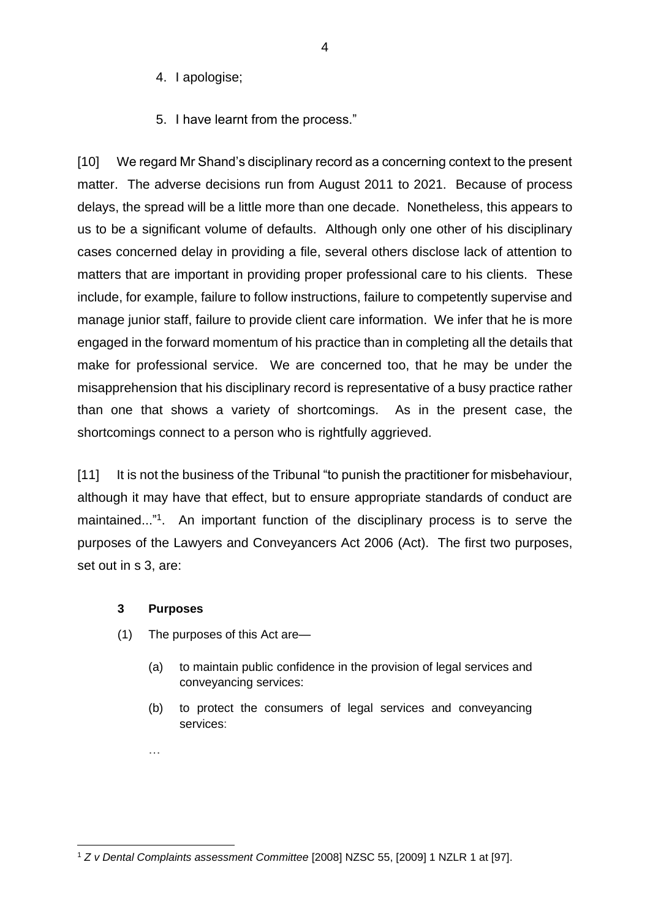- 4. I apologise;
- 5. I have learnt from the process."

[10] We regard Mr Shand's disciplinary record as a concerning context to the present matter. The adverse decisions run from August 2011 to 2021. Because of process delays, the spread will be a little more than one decade. Nonetheless, this appears to us to be a significant volume of defaults. Although only one other of his disciplinary cases concerned delay in providing a file, several others disclose lack of attention to matters that are important in providing proper professional care to his clients. These include, for example, failure to follow instructions, failure to competently supervise and manage junior staff, failure to provide client care information. We infer that he is more engaged in the forward momentum of his practice than in completing all the details that make for professional service. We are concerned too, that he may be under the misapprehension that his disciplinary record is representative of a busy practice rather than one that shows a variety of shortcomings. As in the present case, the shortcomings connect to a person who is rightfully aggrieved.

[11] It is not the business of the Tribunal "to punish the practitioner for misbehaviour, although it may have that effect, but to ensure appropriate standards of conduct are maintained..."<sup>1</sup> . An important function of the disciplinary process is to serve the purposes of the Lawyers and Conveyancers Act 2006 (Act). The first two purposes, set out in s 3, are:

## **3 Purposes**

…

- (1) The purposes of this Act are—
	- (a) to maintain public confidence in the provision of legal services and conveyancing services:
	- (b) to protect the consumers of legal services and conveyancing services:

<sup>1</sup> *Z v Dental Complaints assessment Committee* [2008] NZSC 55, [2009] 1 NZLR 1 at [97].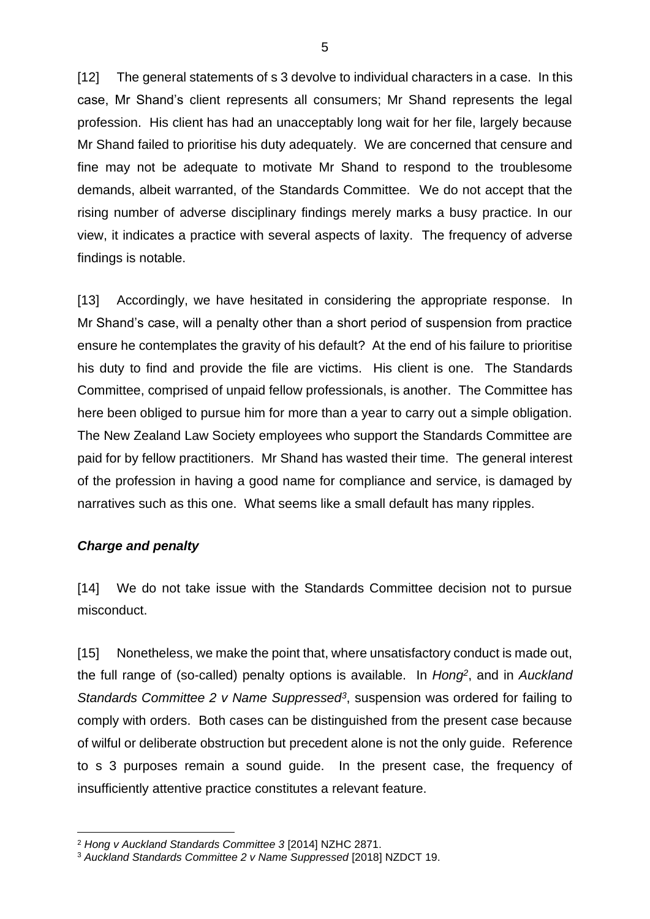[12] The general statements of s 3 devolve to individual characters in a case. In this case, Mr Shand's client represents all consumers; Mr Shand represents the legal profession. His client has had an unacceptably long wait for her file, largely because Mr Shand failed to prioritise his duty adequately. We are concerned that censure and fine may not be adequate to motivate Mr Shand to respond to the troublesome demands, albeit warranted, of the Standards Committee. We do not accept that the rising number of adverse disciplinary findings merely marks a busy practice. In our view, it indicates a practice with several aspects of laxity. The frequency of adverse findings is notable.

[13] Accordingly, we have hesitated in considering the appropriate response. In Mr Shand's case, will a penalty other than a short period of suspension from practice ensure he contemplates the gravity of his default? At the end of his failure to prioritise his duty to find and provide the file are victims. His client is one. The Standards Committee, comprised of unpaid fellow professionals, is another. The Committee has here been obliged to pursue him for more than a year to carry out a simple obligation. The New Zealand Law Society employees who support the Standards Committee are paid for by fellow practitioners. Mr Shand has wasted their time. The general interest of the profession in having a good name for compliance and service, is damaged by narratives such as this one. What seems like a small default has many ripples.

## *Charge and penalty*

[14] We do not take issue with the Standards Committee decision not to pursue misconduct.

[15] Nonetheless, we make the point that, where unsatisfactory conduct is made out, the full range of (so-called) penalty options is available. In *Hong<sup>2</sup>* , and in *Auckland Standards Committee 2 v Name Suppressed<sup>3</sup>* , suspension was ordered for failing to comply with orders. Both cases can be distinguished from the present case because of wilful or deliberate obstruction but precedent alone is not the only guide. Reference to s 3 purposes remain a sound guide. In the present case, the frequency of insufficiently attentive practice constitutes a relevant feature.

<sup>2</sup> *Hong v Auckland Standards Committee 3* [2014] NZHC 2871.

<sup>3</sup> *Auckland Standards Committee 2 v Name Suppressed* [2018] NZDCT 19.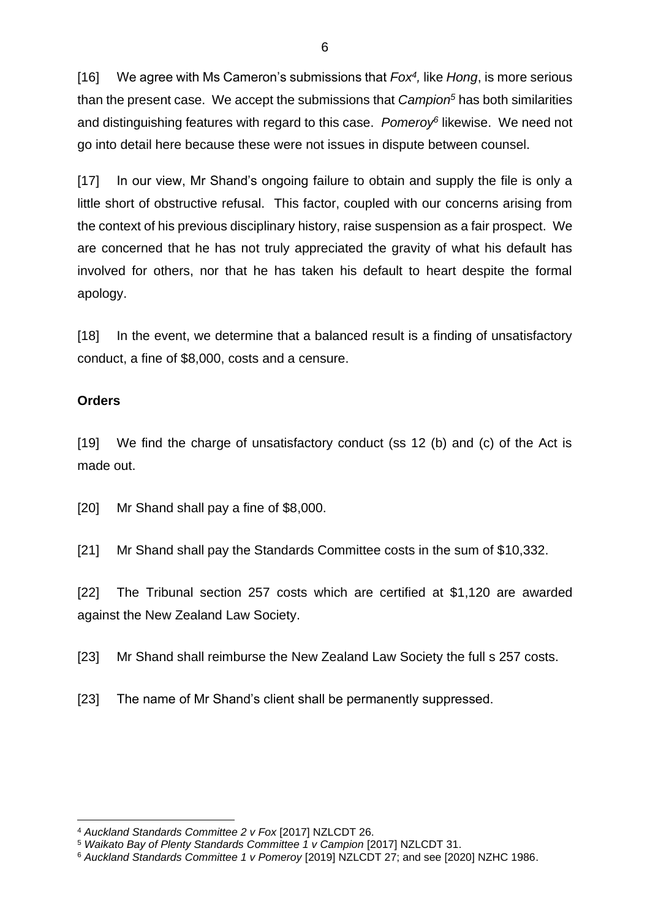[16] We agree with Ms Cameron's submissions that *Fox<sup>4</sup> ,* like *Hong*, is more serious than the present case. We accept the submissions that *Campion<sup>5</sup>* has both similarities and distinguishing features with regard to this case. *Pomeroy<sup>6</sup>* likewise. We need not go into detail here because these were not issues in dispute between counsel.

[17] In our view, Mr Shand's ongoing failure to obtain and supply the file is only a little short of obstructive refusal. This factor, coupled with our concerns arising from the context of his previous disciplinary history, raise suspension as a fair prospect. We are concerned that he has not truly appreciated the gravity of what his default has involved for others, nor that he has taken his default to heart despite the formal apology.

[18] In the event, we determine that a balanced result is a finding of unsatisfactory conduct, a fine of \$8,000, costs and a censure.

## **Orders**

[19] We find the charge of unsatisfactory conduct (ss 12 (b) and (c) of the Act is made out.

[20] Mr Shand shall pay a fine of \$8,000.

[21] Mr Shand shall pay the Standards Committee costs in the sum of \$10,332.

[22] The Tribunal section 257 costs which are certified at \$1,120 are awarded against the New Zealand Law Society.

[23] Mr Shand shall reimburse the New Zealand Law Society the full s 257 costs.

[23] The name of Mr Shand's client shall be permanently suppressed.

<sup>4</sup> *Auckland Standards Committee 2 v Fox* [2017] NZLCDT 26.

<sup>&</sup>lt;sup>5</sup> Waikato Bay of Plenty Standards Committee 1 v Campion [2017] NZLCDT 31.

<sup>6</sup> *Auckland Standards Committee 1 v Pomeroy* [2019] NZLCDT 27; and see [2020] NZHC 1986.